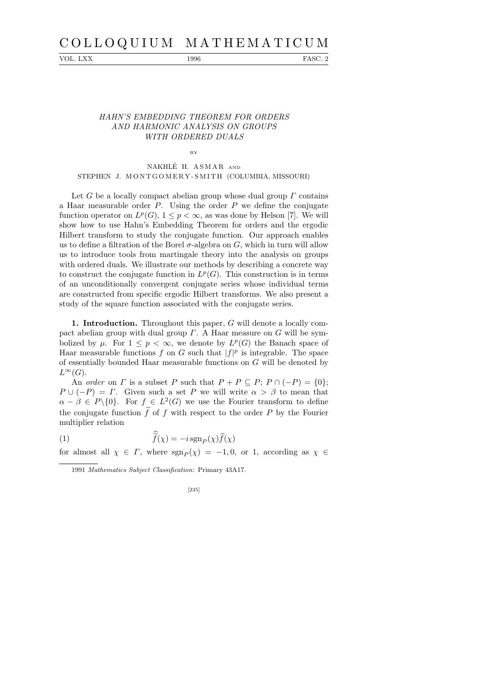## C O L L O Q U I U M M A T H E M A T I C U M

VOL. LXX 1996 FASC. 2

## HAHN'S EMBEDDING THEOREM FOR ORDERS AND HARMONIC ANALYSIS ON GROUPS WITH ORDERED DUALS

NAKHLÉ H. ASMAR AND STEPHEN J. MONTGOMERY-SMITH (COLUMBIA, MISSOURI)

BY

Let G be a locally compact abelian group whose dual group  $\Gamma$  contains a Haar measurable order  $P$ . Using the order  $P$  we define the conjugate function operator on  $L^p(G)$ ,  $1 \leq p < \infty$ , as was done by Helson [7]. We will show how to use Hahn's Embedding Theorem for orders and the ergodic Hilbert transform to study the conjugate function. Our approach enables us to define a filtration of the Borel  $\sigma$ -algebra on G, which in turn will allow us to introduce tools from martingale theory into the analysis on groups with ordered duals. We illustrate our methods by describing a concrete way to construct the conjugate function in  $L^p(G)$ . This construction is in terms of an unconditionally convergent conjugate series whose individual terms are constructed from specific ergodic Hilbert transforms. We also present a study of the square function associated with the conjugate series.

1. Introduction. Throughout this paper, G will denote a locally compact abelian group with dual group  $\Gamma$ . A Haar measure on G will be symbolized by  $\mu$ . For  $1 \leq p < \infty$ , we denote by  $L^p(G)$  the Banach space of Haar measurable functions f on G such that  $|f|^p$  is integrable. The space of essentially bounded Haar measurable functions on G will be denoted by  $L^{\infty}(G)$ .

An order on  $\Gamma$  is a subset P such that  $P + P \subseteq P$ ;  $P \cap (-P) = \{0\}$ ;  $P \cup (-P) = \Gamma$ . Given such a set P we will write  $\alpha > \beta$  to mean that  $\alpha - \beta \in P \setminus \{0\}.$  For  $f \in L^2(G)$  we use the Fourier transform to define the conjugate function  $f$  of  $f$  with respect to the order  $P$  by the Fourier multiplier relation

 $(1)$  f  $f(\chi) = -i \operatorname{sgn}_P(\chi) f(\chi)$ 

for almost all  $\chi \in \Gamma$ , where  $sgn_{\mathcal{P}}(\chi) = -1, 0$ , or 1, according as  $\chi \in \Gamma$ 

<sup>1991</sup> *Mathematics Subject Classification*: Primary 43A17.

<sup>[235]</sup>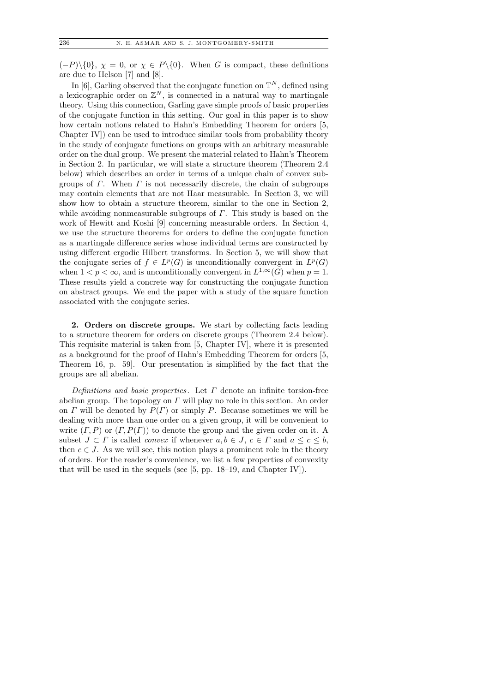$(-P)\setminus\{0\}, \chi = 0$ , or  $\chi \in P\setminus\{0\}.$  When G is compact, these definitions are due to Helson [7] and [8].

In [6], Garling observed that the conjugate function on  $\mathbb{T}^N$ , defined using a lexicographic order on  $\mathbb{Z}^N$ , is connected in a natural way to martingale theory. Using this connection, Garling gave simple proofs of basic properties of the conjugate function in this setting. Our goal in this paper is to show how certain notions related to Hahn's Embedding Theorem for orders [5, Chapter IV]) can be used to introduce similar tools from probability theory in the study of conjugate functions on groups with an arbitrary measurable order on the dual group. We present the material related to Hahn's Theorem in Section 2. In particular, we will state a structure theorem (Theorem 2.4 below) which describes an order in terms of a unique chain of convex subgroups of  $\Gamma$ . When  $\Gamma$  is not necessarily discrete, the chain of subgroups may contain elements that are not Haar measurable. In Section 3, we will show how to obtain a structure theorem, similar to the one in Section 2, while avoiding nonmeasurable subgroups of  $\Gamma$ . This study is based on the work of Hewitt and Koshi [9] concerning measurable orders. In Section 4, we use the structure theorems for orders to define the conjugate function as a martingale difference series whose individual terms are constructed by using different ergodic Hilbert transforms. In Section 5, we will show that the conjugate series of  $f \in L^p(G)$  is unconditionally convergent in  $L^p(G)$ when  $1 < p < \infty$ , and is unconditionally convergent in  $L^{1,\infty}(G)$  when  $p = 1$ . These results yield a concrete way for constructing the conjugate function on abstract groups. We end the paper with a study of the square function associated with the conjugate series.

2. Orders on discrete groups. We start by collecting facts leading to a structure theorem for orders on discrete groups (Theorem 2.4 below). This requisite material is taken from [5, Chapter IV], where it is presented as a background for the proof of Hahn's Embedding Theorem for orders [5, Theorem 16, p. 59]. Our presentation is simplified by the fact that the groups are all abelian.

Definitions and basic properties. Let  $\Gamma$  denote an infinite torsion-free abelian group. The topology on  $\Gamma$  will play no role in this section. An order on  $\Gamma$  will be denoted by  $P(\Gamma)$  or simply P. Because sometimes we will be dealing with more than one order on a given group, it will be convenient to write  $(\Gamma, P)$  or  $(\Gamma, P(\Gamma))$  to denote the group and the given order on it. A subset  $J \subset \Gamma$  is called *convex* if whenever  $a, b \in J$ ,  $c \in \Gamma$  and  $a \leq c \leq b$ , then  $c \in J$ . As we will see, this notion plays a prominent role in the theory of orders. For the reader's convenience, we list a few properties of convexity that will be used in the sequels (see [5, pp. 18–19, and Chapter IV]).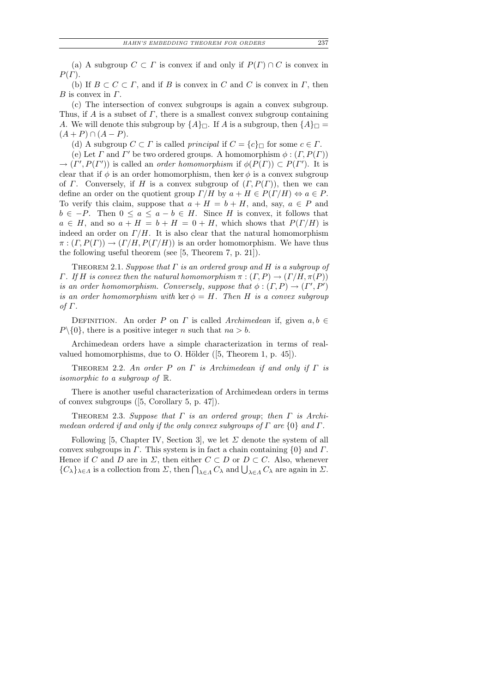(a) A subgroup  $C \subset \Gamma$  is convex if and only if  $P(\Gamma) \cap C$  is convex in  $P(\Gamma)$ .

(b) If  $B \subset C \subset \Gamma$ , and if B is convex in C and C is convex in  $\Gamma$ , then  $B$  is convex in  $\Gamma$ .

(c) The intersection of convex subgroups is again a convex subgroup. Thus, if A is a subset of  $\Gamma$ , there is a smallest convex subgroup containing A. We will denote this subgroup by  ${A}_\Box$ . If A is a subgroup, then  ${A}_\Box$  $(A + P) \cap (A - P).$ 

(d) A subgroup  $C \subset \Gamma$  is called *principal* if  $C = \{c\} \cap \Gamma$  for some  $c \in \Gamma$ .

(e) Let  $\Gamma$  and  $\Gamma'$  be two ordered groups. A homomorphism  $\phi : (\Gamma, P(\Gamma))$  $\rightarrow (I', P(I'))$  is called an order homomorphism if  $\phi(P(I)) \subset P(I')$ . It is clear that if  $\phi$  is an order homomorphism, then ker  $\phi$  is a convex subgroup of  $\Gamma$ . Conversely, if H is a convex subgroup of  $(\Gamma, P(\Gamma))$ , then we can define an order on the quotient group  $\Gamma/H$  by  $a + H \in P(\Gamma/H) \Leftrightarrow a \in P$ . To verify this claim, suppose that  $a + H = b + H$ , and, say,  $a \in P$  and  $b \in -P$ . Then  $0 \le a \le a - b \in H$ . Since H is convex, it follows that  $a \in H$ , and so  $a + H = b + H = 0 + H$ , which shows that  $P(\Gamma/H)$  is indeed an order on  $\Gamma/H$ . It is also clear that the natural homomorphism  $\pi : (T, P(\Gamma)) \to (T/H, P(\Gamma/H))$  is an order homomorphism. We have thus the following useful theorem (see [5, Theorem 7, p. 21]).

THEOREM 2.1. Suppose that  $\Gamma$  is an ordered group and  $H$  is a subgroup of Γ. If H is convex then the natural homomorphism  $\pi : (Γ, P) \rightarrow (Γ/H, \pi(P))$ is an order homomorphism. Conversely, suppose that  $\phi : (T, P) \to (T', P')$ is an order homomorphism with ker  $\phi = H$ . Then H is a convex subgroup of Γ.

DEFINITION. An order P on  $\Gamma$  is called Archimedean if, given  $a, b \in \mathbb{R}$  $P\setminus\{0\}$ , there is a positive integer n such that  $na > b$ .

Archimedean orders have a simple characterization in terms of realvalued homomorphisms, due to O. Hölder  $([5, Theorem 1, p. 45])$ .

THEOREM 2.2. An order P on  $\Gamma$  is Archimedean if and only if  $\Gamma$  is isomorphic to a subgroup of R.

There is another useful characterization of Archimedean orders in terms of convex subgroups ([5, Corollary 5, p. 47]).

THEOREM 2.3. Suppose that  $\Gamma$  is an ordered group; then  $\Gamma$  is Archimedean ordered if and only if the only convex subgroups of  $\Gamma$  are  $\{0\}$  and  $\Gamma$ .

Following [5, Chapter IV, Section 3], we let  $\Sigma$  denote the system of all convex subgroups in  $\Gamma$ . This system is in fact a chain containing  $\{0\}$  and  $\Gamma$ . Hence if C and D are in  $\Sigma$ , then either  $C \subset D$  or  $D \subset C$ . Also, whenever  ${C_{\lambda}}_{\lambda\in\Lambda}$  is a collection from  $\Sigma$ , then  $\bigcap_{\lambda\in\Lambda}C_{\lambda}$  and  $\bigcup_{\lambda\in\Lambda}C_{\lambda}$  are again in  $\Sigma$ .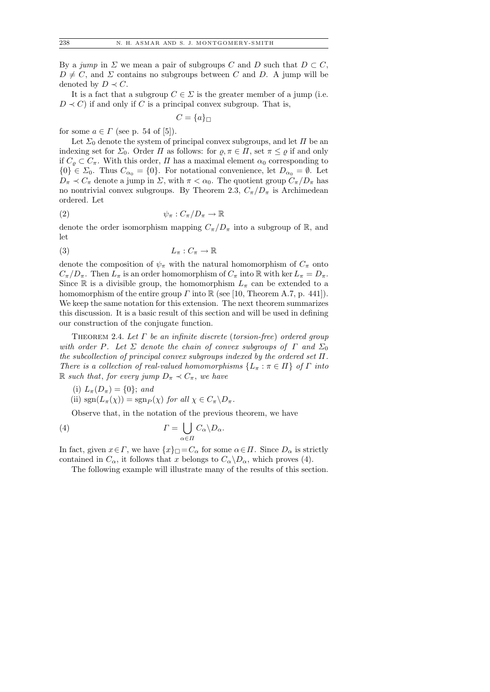By a jump in  $\Sigma$  we mean a pair of subgroups C and D such that  $D \subset C$ ,  $D \neq C$ , and  $\Sigma$  contains no subgroups between C and D. A jump will be denoted by  $D \prec C$ .

It is a fact that a subgroup  $C \in \Sigma$  is the greater member of a jump (i.e.  $D \prec C$ ) if and only if C is a principal convex subgroup. That is,

$$
C = \{a\}_\Box
$$

for some  $a \in \Gamma$  (see p. 54 of [5]).

Let  $\Sigma_0$  denote the system of principal convex subgroups, and let  $\Pi$  be an indexing set for  $\Sigma_0$ . Order  $\Pi$  as follows: for  $\varrho, \pi \in \Pi$ , set  $\pi \leq \varrho$  if and only if  $C_{\rho} \subset C_{\pi}$ . With this order,  $\Pi$  has a maximal element  $\alpha_0$  corresponding to  ${0} \in \Sigma_0$ . Thus  $C_{\alpha_0} = {0}$ . For notational convenience, let  $D_{\alpha_0} = \emptyset$ . Let  $D_{\pi} \prec C_{\pi}$  denote a jump in  $\Sigma$ , with  $\pi < \alpha_0$ . The quotient group  $C_{\pi}/D_{\pi}$  has no nontrivial convex subgroups. By Theorem 2.3,  $C_{\pi}/D_{\pi}$  is Archimedean ordered. Let

$$
\psi_{\pi}: C_{\pi}/D_{\pi} \to \mathbb{R}
$$

denote the order isomorphism mapping  $C_{\pi}/D_{\pi}$  into a subgroup of R, and let

$$
(3) \t\t\t L_{\pi}: C_{\pi} \to \mathbb{R}
$$

denote the composition of  $\psi_{\pi}$  with the natural homomorphism of  $C_{\pi}$  onto  $C_{\pi}/D_{\pi}$ . Then  $L_{\pi}$  is an order homomorphism of  $C_{\pi}$  into  $\mathbb R$  with ker  $L_{\pi} = D_{\pi}$ . Since R is a divisible group, the homomorphism  $L_{\pi}$  can be extended to a homomorphism of the entire group  $\Gamma$  into  $\mathbb R$  (see [10, Theorem A.7, p. 441]). We keep the same notation for this extension. The next theorem summarizes this discussion. It is a basic result of this section and will be used in defining our construction of the conjugate function.

THEOREM 2.4. Let  $\Gamma$  be an infinite discrete (torsion-free) ordered group with order P. Let  $\Sigma$  denote the chain of convex subgroups of  $\Gamma$  and  $\Sigma_0$ the subcollection of principal convex subgroups indexed by the ordered set  $\Pi$ . There is a collection of real-valued homomorphisms  $\{L_\pi : \pi \in \Pi\}$  of  $\Gamma$  into R such that, for every jump  $D_{\pi} \prec C_{\pi}$ , we have

- (i)  $L_{\pi}(D_{\pi}) = \{0\};$  and
- (ii)  $sgn(L_\pi(\chi)) = sgn_P(\chi)$  for all  $\chi \in C_\pi \backslash D_\pi$ .

Observe that, in the notation of the previous theorem, we have

(4) 
$$
\Gamma = \bigcup_{\alpha \in \Pi} C_{\alpha} \backslash D_{\alpha}.
$$

In fact, given  $x \in \Gamma$ , we have  $\{x\}_{\square} = C_{\alpha}$  for some  $\alpha \in \Pi$ . Since  $D_{\alpha}$  is strictly contained in  $C_{\alpha}$ , it follows that x belongs to  $C_{\alpha} \backslash D_{\alpha}$ , which proves (4).

The following example will illustrate many of the results of this section.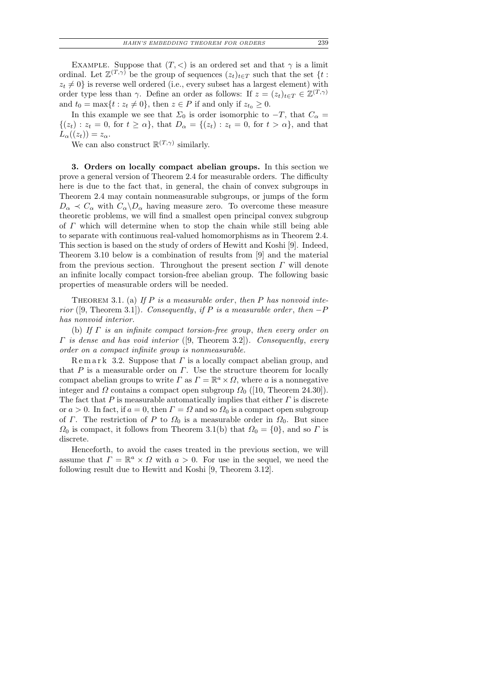EXAMPLE. Suppose that  $(T, <)$  is an ordered set and that  $\gamma$  is a limit ordinal. Let  $\mathbb{Z}^{(T,\gamma)}$  be the group of sequences  $(z_t)_{t\in T}$  such that the set  $\{t:$  $z_t \neq 0$  is reverse well ordered (i.e., every subset has a largest element) with order type less than  $\gamma$ . Define an order as follows: If  $z = (z_t)_{t \in T} \in \mathbb{Z}^{(T,\gamma)}$ and  $t_0 = \max\{t : z_t \neq 0\}$ , then  $z \in P$  if and only if  $z_{t_0} \geq 0$ .

In this example we see that  $\Sigma_0$  is order isomorphic to  $-T$ , that  $C_\alpha =$  $\{(z_t): z_t = 0, \text{ for } t \geq \alpha\}, \text{ that } D_{\alpha} = \{(z_t): z_t = 0, \text{ for } t > \alpha\}, \text{ and that }$  $L_{\alpha}((z_t)) = z_{\alpha}.$ 

We can also construct  $\mathbb{R}^{(T,\gamma)}$  similarly.

3. Orders on locally compact abelian groups. In this section we prove a general version of Theorem 2.4 for measurable orders. The difficulty here is due to the fact that, in general, the chain of convex subgroups in Theorem 2.4 may contain nonmeasurable subgroups, or jumps of the form  $D_{\alpha} \prec C_{\alpha}$  with  $C_{\alpha} \backslash D_{\alpha}$  having measure zero. To overcome these measure theoretic problems, we will find a smallest open principal convex subgroup of  $\Gamma$  which will determine when to stop the chain while still being able to separate with continuous real-valued homomorphisms as in Theorem 2.4. This section is based on the study of orders of Hewitt and Koshi [9]. Indeed, Theorem 3.10 below is a combination of results from [9] and the material from the previous section. Throughout the present section  $\Gamma$  will denote an infinite locally compact torsion-free abelian group. The following basic properties of measurable orders will be needed.

THEOREM 3.1. (a) If  $P$  is a measurable order, then  $P$  has nonvoid interior ([9, Theorem 3.1]). Consequently, if P is a measurable order, then  $-P$ has nonvoid interior.

(b) If  $\Gamma$  is an infinite compact torsion-free group, then every order on  $\Gamma$  is dense and has void interior ([9, Theorem 3.2]). Consequently, every order on a compact infinite group is nonmeasurable.

 $\text{R}$  e m a r k 3.2. Suppose that  $\Gamma$  is a locally compact abelian group, and that  $P$  is a measurable order on  $\Gamma$ . Use the structure theorem for locally compact abelian groups to write  $\Gamma$  as  $\Gamma = \mathbb{R}^a \times \Omega$ , where a is a nonnegative integer and  $\Omega$  contains a compact open subgroup  $\Omega_0$  ([10, Theorem 24.30]). The fact that  $P$  is measurable automatically implies that either  $\Gamma$  is discrete or  $a > 0$ . In fact, if  $a = 0$ , then  $\Gamma = \Omega$  and so  $\Omega_0$  is a compact open subgroup of  $\Gamma$ . The restriction of P to  $\Omega_0$  is a measurable order in  $\Omega_0$ . But since  $\Omega_0$  is compact, it follows from Theorem 3.1(b) that  $\Omega_0 = \{0\}$ , and so  $\Gamma$  is discrete.

Henceforth, to avoid the cases treated in the previous section, we will assume that  $\Gamma = \mathbb{R}^a \times \Omega$  with  $a > 0$ . For use in the sequel, we need the following result due to Hewitt and Koshi [9, Theorem 3.12].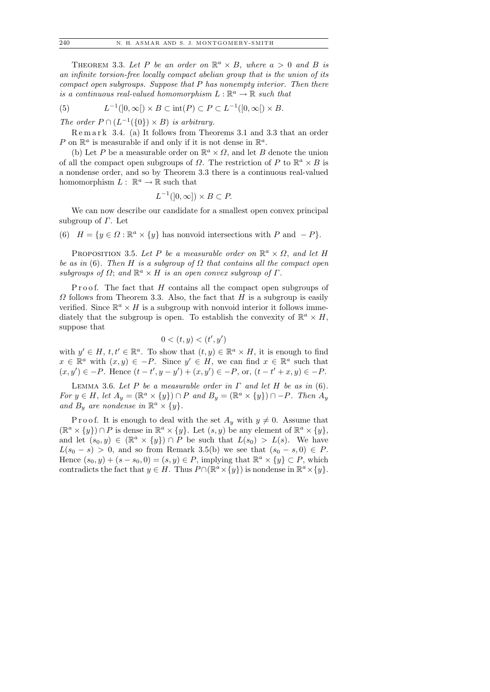THEOREM 3.3. Let P be an order on  $\mathbb{R}^a \times B$ , where  $a > 0$  and B is an infinite torsion-free locally compact abelian group that is the union of its compact open subgroups. Suppose that P has nonempty interior. Then there is a continuous real-valued homomorphism  $L : \mathbb{R}^a \to \mathbb{R}$  such that

(5) 
$$
L^{-1}(]0,\infty[) \times B \subset \text{int}(P) \subset P \subset L^{-1}([0,\infty[) \times B.
$$

The order  $P \cap (L^{-1}(\{0\}) \times B)$  is arbitrary.

R e m a r k 3.4. (a) It follows from Theorems 3.1 and 3.3 that an order P on  $\mathbb{R}^a$  is measurable if and only if it is not dense in  $\mathbb{R}^a$ .

(b) Let P be a measurable order on  $\mathbb{R}^a \times \Omega$ , and let B denote the union of all the compact open subgroups of  $\Omega$ . The restriction of P to  $\mathbb{R}^a \times B$  is a nondense order, and so by Theorem 3.3 there is a continuous real-valued homomorphism  $L: \mathbb{R}^a \to \mathbb{R}$  such that

$$
L^{-1}(]0,\infty]) \times B \subset P.
$$

We can now describe our candidate for a smallest open convex principal subgroup of  $\Gamma$ . Let

(6)  $H = \{y \in \Omega : \mathbb{R}^a \times \{y\} \text{ has nonvoid intersections with } P \text{ and } -P\}.$ 

PROPOSITION 3.5. Let P be a measurable order on  $\mathbb{R}^a \times \Omega$ , and let H be as in (6). Then H is a subgroup of  $\Omega$  that contains all the compact open subgroups of  $\Omega$ ; and  $\mathbb{R}^a \times H$  is an open convex subgroup of  $\Gamma$ .

Proof. The fact that  $H$  contains all the compact open subgroups of  $\Omega$  follows from Theorem 3.3. Also, the fact that H is a subgroup is easily verified. Since  $\mathbb{R}^a \times H$  is a subgroup with nonvoid interior it follows immediately that the subgroup is open. To establish the convexity of  $\mathbb{R}^a \times H$ , suppose that

$$
0 < (t, y) < (t', y')
$$

with  $y' \in H$ ,  $t, t' \in \mathbb{R}^a$ . To show that  $(t, y) \in \mathbb{R}^a \times H$ , it is enough to find  $x \in \mathbb{R}^a$  with  $(x, y) \in -P$ . Since  $y' \in H$ , we can find  $x \in \mathbb{R}^a$  such that  $(x, y') \in -P$ . Hence  $(t - t', y - y') + (x, y') \in -P$ , or,  $(t - t' + x, y) \in -P$ .

LEMMA 3.6. Let P be a measurable order in  $\Gamma$  and let H be as in (6). For  $y \in H$ , let  $A_y = (\mathbb{R}^a \times \{y\}) \cap P$  and  $B_y = (\mathbb{R}^a \times \{y\}) \cap -P$ . Then  $A_y$ and  $B_y$  are nondense in  $\mathbb{R}^a \times \{y\}$ .

P r o o f. It is enough to deal with the set  $A_y$  with  $y \neq 0$ . Assume that  $(\mathbb{R}^a \times \{y\}) \cap P$  is dense in  $\mathbb{R}^a \times \{y\}$ . Let  $(s, y)$  be any element of  $\mathbb{R}^a \times \{y\}$ , and let  $(s_0, y) \in (\mathbb{R}^a \times \{y\}) \cap P$  be such that  $L(s_0) > L(s)$ . We have  $L(s_0 - s) > 0$ , and so from Remark 3.5(b) we see that  $(s_0 - s, 0) \in P$ . Hence  $(s_0, y) + (s - s_0, 0) = (s, y) \in P$ , implying that  $\mathbb{R}^a \times \{y\} \subset P$ , which contradicts the fact that  $y \in H$ . Thus  $P \cap (\mathbb{R}^a \times \{y\})$  is nondense in  $\mathbb{R}^a \times \{y\}$ .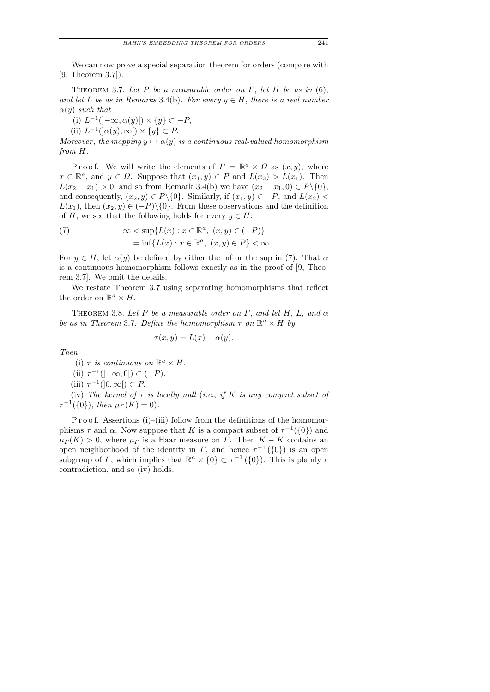We can now prove a special separation theorem for orders (compare with [9, Theorem 3.7]).

THEOREM 3.7. Let P be a measurable order on  $\Gamma$ , let H be as in (6), and let L be as in Remarks 3.4(b). For every  $y \in H$ , there is a real number  $\alpha(y)$  such that

(i)  $L^{-1}(-\infty, \alpha(y)[)\times \{y\} \subset -P$ ,

(ii)  $L^{-1}(\alpha(y), \infty) \times \{y\} \subset P$ .

Moreover, the mapping  $y \mapsto \alpha(y)$  is a continuous real-valued homomorphism from H.

P r o o f. We will write the elements of  $\Gamma = \mathbb{R}^a \times \Omega$  as  $(x, y)$ , where  $x \in \mathbb{R}^a$ , and  $y \in \Omega$ . Suppose that  $(x_1, y) \in P$  and  $L(x_2) > L(x_1)$ . Then  $L(x_2 - x_1) > 0$ , and so from Remark 3.4(b) we have  $(x_2 - x_1, 0) \in P \setminus \{0\}$ , and consequently,  $(x_2, y) \in P \setminus \{0\}$ . Similarly, if  $(x_1, y) \in -P$ , and  $L(x_2)$  $L(x_1)$ , then  $(x_2, y) \in (-P) \setminus \{0\}$ . From these observations and the definition of H, we see that the following holds for every  $y \in H$ :

(7) 
$$
-\infty < \sup\{L(x) : x \in \mathbb{R}^a, (x, y) \in (-P)\}
$$

$$
= \inf\{L(x) : x \in \mathbb{R}^a, (x, y) \in P\} < \infty.
$$

For  $y \in H$ , let  $\alpha(y)$  be defined by either the inf or the sup in (7). That  $\alpha$ is a continuous homomorphism follows exactly as in the proof of [9, Theorem 3.7]. We omit the details.

We restate Theorem 3.7 using separating homomorphisms that reflect the order on  $\mathbb{R}^a \times H$ .

THEOREM 3.8. Let P be a measurable order on  $\Gamma$ , and let H, L, and  $\alpha$ be as in Theorem 3.7. Define the homomorphism  $\tau$  on  $\mathbb{R}^a \times H$  by

$$
\tau(x, y) = L(x) - \alpha(y).
$$

Then

- (i)  $\tau$  is continuous on  $\mathbb{R}^a \times H$ .
- (ii)  $\tau^{-1}(-\infty,0[) \subset (-P)$ .
- (iii)  $\tau^{-1}(]0,\infty[) \subset P$ .

(iv) The kernel of  $\tau$  is locally null (i.e., if K is any compact subset of  $\tau^{-1}(\{0\}),\$  then  $\mu(\Kappa) = 0$ ).

P r o o f. Assertions (i)–(iii) follow from the definitions of the homomorphisms  $\tau$  and  $\alpha$ . Now suppose that K is a compact subset of  $\tau^{-1}(\{0\})$  and  $\mu_{\Gamma}(K) > 0$ , where  $\mu_{\Gamma}$  is a Haar measure on  $\Gamma$ . Then  $K - K$  contains an open neighborhood of the identity in  $\Gamma$ , and hence  $\tau^{-1}(\{0\})$  is an open subgroup of  $\Gamma$ , which implies that  $\mathbb{R}^a \times \{0\} \subset \tau^{-1}(\{0\})$ . This is plainly a contradiction, and so (iv) holds.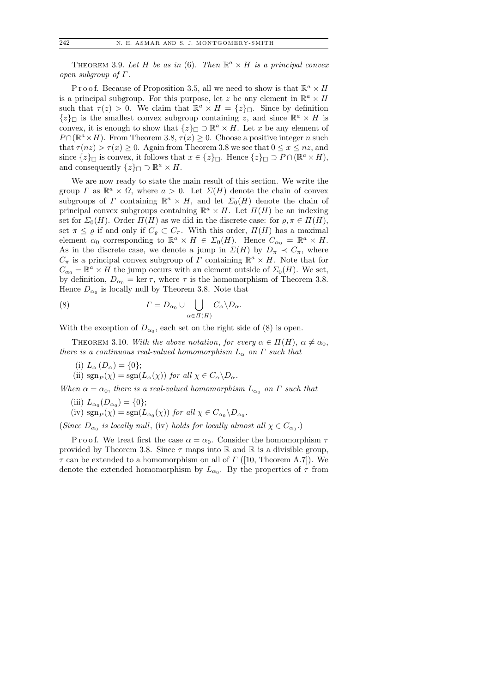THEOREM 3.9. Let H be as in (6). Then  $\mathbb{R}^a \times H$  is a principal convex open subgroup of  $Γ$ .

P r o o f. Because of Proposition 3.5, all we need to show is that  $\mathbb{R}^a \times H$ is a principal subgroup. For this purpose, let z be any element in  $\mathbb{R}^a \times H$ such that  $\tau(z) > 0$ . We claim that  $\mathbb{R}^a \times H = \{z\}_{\square}$ . Since by definition  $\{z\}$  is the smallest convex subgroup containing z, and since  $\mathbb{R}^a \times H$  is convex, it is enough to show that  $\{z\}_{\square} \supset \mathbb{R}^a \times H$ . Let x be any element of  $P \cap (\mathbb{R}^a \times H)$ . From Theorem 3.8,  $\tau(x) \geq 0$ . Choose a positive integer n such that  $\tau(nz) > \tau(x) \geq 0$ . Again from Theorem 3.8 we see that  $0 \leq x \leq nz$ , and since  $\{z\}$  is convex, it follows that  $x \in \{z\}$ . Hence  $\{z\}$   $\supset P \cap (\mathbb{R}^a \times H)$ , and consequently  $\{z\}_{\square} \supset \mathbb{R}^a \times H$ .

We are now ready to state the main result of this section. We write the group  $\Gamma$  as  $\mathbb{R}^a \times \Omega$ , where  $a > 0$ . Let  $\Sigma(H)$  denote the chain of convex subgroups of  $\Gamma$  containing  $\mathbb{R}^a \times H$ , and let  $\Sigma_0(H)$  denote the chain of principal convex subgroups containing  $\mathbb{R}^a \times H$ . Let  $\Pi(H)$  be an indexing set for  $\Sigma_0(H)$ . Order  $\Pi(H)$  as we did in the discrete case: for  $\rho, \pi \in \Pi(H)$ , set  $\pi \leq \varrho$  if and only if  $C_{\varrho} \subset C_{\pi}$ . With this order,  $\Pi(H)$  has a maximal element  $\alpha_0$  corresponding to  $\mathbb{R}^a \times H \in \Sigma_0(H)$ . Hence  $C_{\alpha_0} = \mathbb{R}^a \times H$ . As in the discrete case, we denote a jump in  $\Sigma(H)$  by  $D_{\pi} \prec C_{\pi}$ , where  $C_{\pi}$  is a principal convex subgroup of  $\Gamma$  containing  $\mathbb{R}^{a} \times H$ . Note that for  $C_{\alpha_0} = \mathbb{R}^a \times H$  the jump occurs with an element outside of  $\Sigma_0(H)$ . We set, by definition,  $D_{\alpha_0} = \ker \tau$ , where  $\tau$  is the homomorphism of Theorem 3.8. Hence  $D_{\alpha_0}$  is locally null by Theorem 3.8. Note that

(8) 
$$
\Gamma = D_{\alpha_0} \cup \bigcup_{\alpha \in \Pi(H)} C_{\alpha} \backslash D_{\alpha}.
$$

With the exception of  $D_{\alpha_0}$ , each set on the right side of (8) is open.

THEOREM 3.10. With the above notation, for every  $\alpha \in \Pi(H)$ ,  $\alpha \neq \alpha_0$ , there is a continuous real-valued homomorphism  $L_{\alpha}$  on  $\Gamma$  such that

(i)  $L_{\alpha} (D_{\alpha}) = \{0\};$ (ii)  $\text{sgn}_P(\chi) = \text{sgn}(L_\alpha(\chi))$  for all  $\chi \in C_\alpha \backslash D_\alpha$ .

When  $\alpha = \alpha_0$ , there is a real-valued homomorphism  $L_{\alpha_0}$  on  $\Gamma$  such that

(iii)  $L_{\alpha_0}(D_{\alpha_0}) = \{0\};$ 

(iv)  $sgn_P(\chi) = sgn(L_{\alpha_0}(\chi))$  for all  $\chi \in C_{\alpha_0} \backslash D_{\alpha_0}$ .

(Since  $D_{\alpha_0}$  is locally null, (iv) holds for locally almost all  $\chi \in C_{\alpha_0}$ .)

P r o o f. We treat first the case  $\alpha = \alpha_0$ . Consider the homomorphism  $\tau$ provided by Theorem 3.8. Since  $\tau$  maps into R and R is a divisible group,  $\tau$  can be extended to a homomorphism on all of  $\Gamma$  ([10, Theorem A.7]). We denote the extended homomorphism by  $L_{\alpha_0}$ . By the properties of  $\tau$  from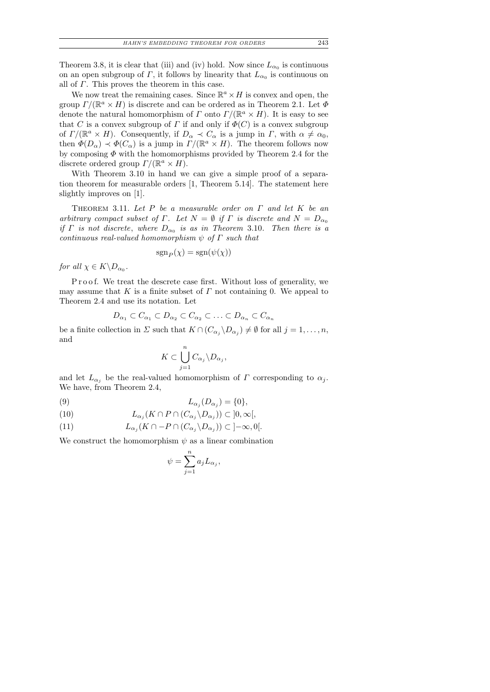Theorem 3.8, it is clear that (iii) and (iv) hold. Now since  $L_{\alpha_0}$  is continuous on an open subgroup of  $\Gamma$ , it follows by linearity that  $L_{\alpha_0}$  is continuous on all of  $\Gamma$ . This proves the theorem in this case.

We now treat the remaining cases. Since  $\mathbb{R}^a \times H$  is convex and open, the group  $\Gamma/(\mathbb{R}^a \times H)$  is discrete and can be ordered as in Theorem 2.1. Let  $\Phi$ denote the natural homomorphism of  $\Gamma$  onto  $\Gamma/(\mathbb{R}^a \times H)$ . It is easy to see that C is a convex subgroup of  $\Gamma$  if and only if  $\Phi(C)$  is a convex subgroup of  $\Gamma/(\mathbb{R}^a \times H)$ . Consequently, if  $D_{\alpha} \prec C_{\alpha}$  is a jump in  $\Gamma$ , with  $\alpha \neq \alpha_0$ , then  $\Phi(D_\alpha) \prec \Phi(C_\alpha)$  is a jump in  $\Gamma/(\mathbb{R}^a \times H)$ . The theorem follows now by composing  $\Phi$  with the homomorphisms provided by Theorem 2.4 for the discrete ordered group  $\Gamma/(\mathbb{R}^a \times H)$ .

With Theorem 3.10 in hand we can give a simple proof of a separation theorem for measurable orders [1, Theorem 5.14]. The statement here slightly improves on [1].

THEOREM 3.11. Let  $P$  be a measurable order on  $\Gamma$  and let  $K$  be an arbitrary compact subset of Γ. Let  $N = \emptyset$  if Γ is discrete and  $N = D_{\alpha_0}$ if  $\Gamma$  is not discrete, where  $D_{\alpha_0}$  is as in Theorem 3.10. Then there is a continuous real-valued homomorphism  $\psi$  of  $\Gamma$  such that

$$
sgn_P(\chi) = sgn(\psi(\chi))
$$

for all  $\chi \in K \backslash D_{\alpha_0}$ .

Proof. We treat the descrete case first. Without loss of generality, we may assume that K is a finite subset of  $\Gamma$  not containing 0. We appeal to Theorem 2.4 and use its notation. Let

$$
D_{\alpha_1} \subset C_{\alpha_1} \subset D_{\alpha_2} \subset C_{\alpha_2} \subset \ldots \subset D_{\alpha_n} \subset C_{\alpha_n}
$$

be a finite collection in  $\Sigma$  such that  $K \cap (C_{\alpha_j} \backslash D_{\alpha_j}) \neq \emptyset$  for all  $j = 1, \ldots, n$ , and

$$
K \subset \bigcup_{j=1}^n C_{\alpha_j} \backslash D_{\alpha_j},
$$

and let  $L_{\alpha_i}$  be the real-valued homomorphism of  $\Gamma$  corresponding to  $\alpha_j$ . We have, from Theorem 2.4,

$$
(9) \t\t\t L_{\alpha_j}(D_{\alpha_j}) = \{0\},\
$$

(10) 
$$
L_{\alpha_j}(K \cap P \cap (C_{\alpha_j} \backslash D_{\alpha_j})) \subset ]0, \infty[,
$$

(11) 
$$
L_{\alpha_j}(K \cap -P \cap (C_{\alpha_j} \backslash D_{\alpha_j})) \subset ]-\infty,0[.
$$

We construct the homomorphism  $\psi$  as a linear combination

$$
\psi = \sum_{j=1}^{n} a_j L_{\alpha_j},
$$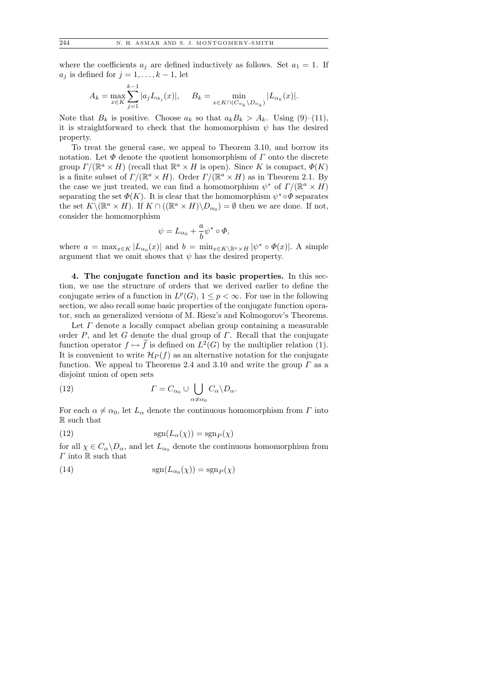where the coefficients  $a_j$  are defined inductively as follows. Set  $a_1 = 1$ . If  $a_j$  is defined for  $j = 1, \ldots, k - 1$ , let

$$
A_k = \max_{x \in K} \sum_{j=1}^{k-1} |a_j L_{\alpha_j}(x)|, \quad B_k = \min_{x \in K \cap (C_{\alpha_k} \setminus D_{\alpha_k})} |L_{\alpha_k}(x)|.
$$

Note that  $B_k$  is positive. Choose  $a_k$  so that  $a_k B_k > A_k$ . Using (9)–(11), it is straightforward to check that the homomorphism  $\psi$  has the desired property.

To treat the general case, we appeal to Theorem 3.10, and borrow its notation. Let  $\Phi$  denote the quotient homomorphism of  $\Gamma$  onto the discrete group  $\Gamma/(\mathbb{R}^a \times H)$  (recall that  $\mathbb{R}^a \times H$  is open). Since K is compact,  $\Phi(K)$ is a finite subset of  $\Gamma/(\mathbb{R}^a \times H)$ . Order  $\Gamma/(\mathbb{R}^a \times H)$  as in Theorem 2.1. By the case we just treated, we can find a homomorphism  $\psi^*$  of  $\Gamma/(\mathbb{R}^a \times H)$ separating the set  $\Phi(K)$ . It is clear that the homomorphism  $\psi^* \circ \Phi$  separates the set  $K\setminus(\mathbb{R}^a\times H)$ . If  $K\cap((\mathbb{R}^a\times H)\setminus D_{\alpha_0})=\emptyset$  then we are done. If not, consider the homomorphism

$$
\psi=L_{\alpha_0}+\frac{a}{b}\psi^*\circ\varPhi,
$$

where  $a = \max_{x \in K} |L_{\alpha_0}(x)|$  and  $b = \min_{x \in K \setminus \mathbb{R}^a \times H} |\psi^* \circ \Phi(x)|$ . A simple argument that we omit shows that  $\psi$  has the desired property.

4. The conjugate function and its basic properties. In this section, we use the structure of orders that we derived earlier to define the conjugate series of a function in  $L^p(G)$ ,  $1 \leq p < \infty$ . For use in the following section, we also recall some basic properties of the conjugate function operator, such as generalized versions of M. Riesz's and Kolmogorov's Theorems.

Let  $\Gamma$  denote a locally compact abelian group containing a measurable order  $P$ , and let G denote the dual group of  $\Gamma$ . Recall that the conjugate function operator  $f \mapsto f$  is defined on  $L^2(G)$  by the multiplier relation (1). It is convenient to write  $\mathcal{H}_P(f)$  as an alternative notation for the conjugate function. We appeal to Theorems 2.4 and 3.10 and write the group  $\Gamma$  as a disjoint union of open sets

(12) 
$$
\Gamma = C_{\alpha_0} \cup \bigcup_{\alpha \neq \alpha_0} C_{\alpha} \backslash D_{\alpha}.
$$

For each  $\alpha \neq \alpha_0$ , let  $L_\alpha$  denote the continuous homomorphism from  $\Gamma$  into R such that

(12) 
$$
\text{sgn}(L_{\alpha}(\chi)) = \text{sgn}_P(\chi)
$$

for all  $\chi \in C_\alpha \backslash D_\alpha$ , and let  $L_{\alpha_0}$  denote the continuous homomorphism from  $\Gamma$  into  $\mathbb R$  such that

(14) 
$$
\operatorname{sgn}(L_{\alpha_0}(\chi)) = \operatorname{sgn}_P(\chi)
$$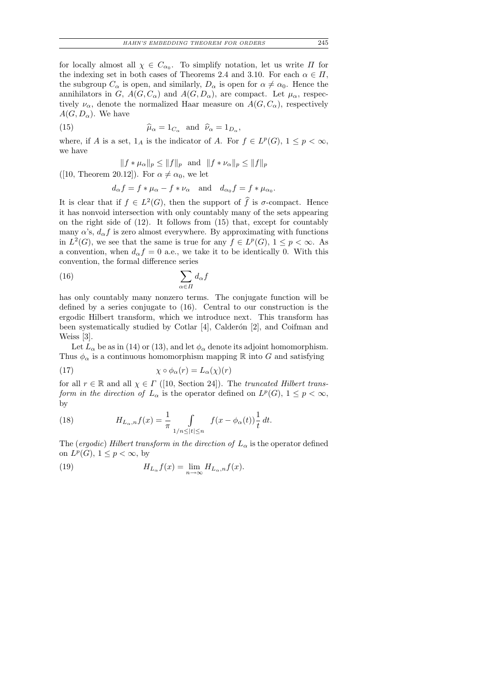for locally almost all  $\chi \in C_{\alpha_0}$ . To simplify notation, let us write  $\Pi$  for the indexing set in both cases of Theorems 2.4 and 3.10. For each  $\alpha \in \Pi$ , the subgroup  $C_{\alpha}$  is open, and similarly,  $D_{\alpha}$  is open for  $\alpha \neq \alpha_0$ . Hence the annihilators in G,  $A(G, C_{\alpha})$  and  $A(G, D_{\alpha})$ , are compact. Let  $\mu_{\alpha}$ , respectively  $\nu_{\alpha}$ , denote the normalized Haar measure on  $A(G, C_{\alpha})$ , respectively  $A(G, D_{\alpha})$ . We have

(15) 
$$
\widehat{\mu}_{\alpha} = 1_{C_{\alpha}} \text{ and } \widehat{\nu}_{\alpha} = 1_{D_{\alpha}}
$$

where, if A is a set,  $1_A$  is the indicator of A. For  $f \in L^p(G)$ ,  $1 \leq p < \infty$ , we have

,

$$
||f * \mu_{\alpha}||_p \le ||f||_p
$$
 and  $||f * \nu_{\alpha}||_p \le ||f||_p$ 

([10, Theorem 20.12]). For  $\alpha \neq \alpha_0$ , we let

$$
d_{\alpha}f = f * \mu_{\alpha} - f * \nu_{\alpha} \quad \text{and} \quad d_{\alpha_0}f = f * \mu_{\alpha_0}.
$$

It is clear that if  $f \in L^2(G)$ , then the support of  $\widehat{f}$  is  $\sigma$ -compact. Hence it has nonvoid intersection with only countably many of the sets appearing on the right side of (12). It follows from (15) that, except for countably many  $\alpha$ 's,  $d_{\alpha} f$  is zero almost everywhere. By approximating with functions in  $L^2(G)$ , we see that the same is true for any  $f \in L^p(G)$ ,  $1 \leq p < \infty$ . As a convention, when  $d_{\alpha} f = 0$  a.e., we take it to be identically 0. With this convention, the formal difference series

$$
(16)\qquad \qquad \sum_{\alpha\in\Pi}d_{\alpha}f
$$

has only countably many nonzero terms. The conjugate function will be defined by a series conjugate to (16). Central to our construction is the ergodic Hilbert transform, which we introduce next. This transform has been systematically studied by Cotlar  $[4]$ , Calderón  $[2]$ , and Coifman and Weiss [3].

Let  $L_{\alpha}$  be as in (14) or (13), and let  $\phi_{\alpha}$  denote its adjoint homomorphism. Thus  $\phi_{\alpha}$  is a continuous homomorphism mapping R into G and satisfying

(17) 
$$
\chi \circ \phi_{\alpha}(r) = L_{\alpha}(\chi)(r)
$$

for all  $r \in \mathbb{R}$  and all  $\chi \in \Gamma$  ([10, Section 24]). The truncated Hilbert transform in the direction of  $L_{\alpha}$  is the operator defined on  $L^p(G)$ ,  $1 \leq p < \infty$ , by

(18) 
$$
H_{L_{\alpha},n}f(x) = \frac{1}{\pi} \int_{1/n \leq |t| \leq n} f(x - \phi_{\alpha}(t)) \frac{1}{t} dt.
$$

The (ergodic) Hilbert transform in the direction of  $L_{\alpha}$  is the operator defined on  $L^p(G)$ ,  $1 \leq p < \infty$ , by

(19) 
$$
H_{L_{\alpha}}f(x) = \lim_{n \to \infty} H_{L_{\alpha},n}f(x).
$$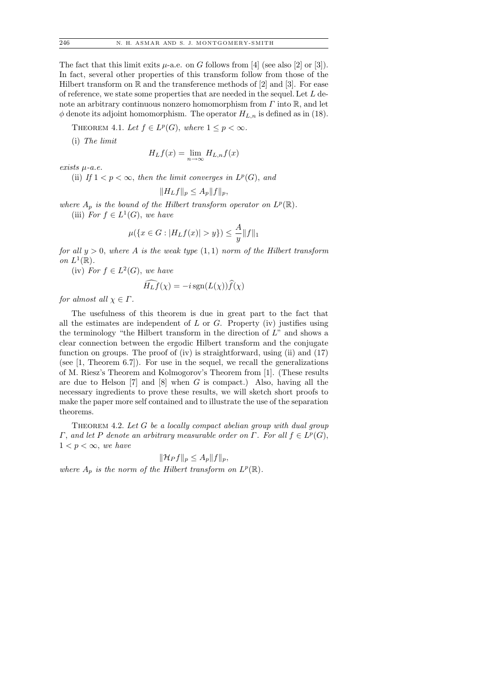The fact that this limit exits  $\mu$ -a.e. on G follows from [4] (see also [2] or [3]). In fact, several other properties of this transform follow from those of the Hilbert transform on  $\mathbb R$  and the transference methods of [2] and [3]. For ease of reference, we state some properties that are needed in the sequel. Let L denote an arbitrary continuous nonzero homomorphism from  $\Gamma$  into  $\mathbb{R}$ , and let  $\phi$  denote its adjoint homomorphism. The operator  $H_{L,n}$  is defined as in (18).

THEOREM 4.1. Let  $f \in L^p(G)$ , where  $1 \leq p < \infty$ .

(i) The limit

$$
H_L f(x) = \lim_{n \to \infty} H_{L,n} f(x)
$$

exists  $\mu$ -a.e.

(ii) If  $1 < p < \infty$ , then the limit converges in  $L^p(G)$ , and

$$
||H_Lf||_p \le A_p ||f||_p,
$$

where  $A_p$  is the bound of the Hilbert transform operator on  $L^p(\mathbb{R})$ . (iii) For  $f \in L^1(G)$ , we have

$$
\mu(\{x \in G : |H_L f(x)| > y\}) \le \frac{A}{y} ||f||_1
$$

for all  $y > 0$ , where A is the weak type  $(1, 1)$  norm of the Hilbert transform on  $L^1(\mathbb{R})$ .

(iv) For  $f \in L^2(G)$ , we have

$$
\widehat{H_L f}(\chi) = -i \operatorname{sgn}(L(\chi)) \widehat{f}(\chi)
$$

for almost all  $\chi \in \Gamma$ .

The usefulness of this theorem is due in great part to the fact that all the estimates are independent of  $L$  or  $G$ . Property (iv) justifies using the terminology "the Hilbert transform in the direction of  $L^{\prime\prime}$  and shows a clear connection between the ergodic Hilbert transform and the conjugate function on groups. The proof of (iv) is straightforward, using (ii) and (17) (see [1, Theorem 6.7]). For use in the sequel, we recall the generalizations of M. Riesz's Theorem and Kolmogorov's Theorem from [1]. (These results are due to Helson  $[7]$  and  $[8]$  when G is compact.) Also, having all the necessary ingredients to prove these results, we will sketch short proofs to make the paper more self contained and to illustrate the use of the separation theorems.

THEOREM 4.2. Let  $G$  be a locally compact abelian group with dual group  $\Gamma$ , and let P denote an arbitrary measurable order on  $\Gamma$ . For all  $f \in L^p(G)$ ,  $1 < p < \infty$ , we have

$$
\|\mathcal{H}_Pf\|_p\leq A_p\|f\|_p,
$$

where  $A_p$  is the norm of the Hilbert transform on  $L^p(\mathbb{R})$ .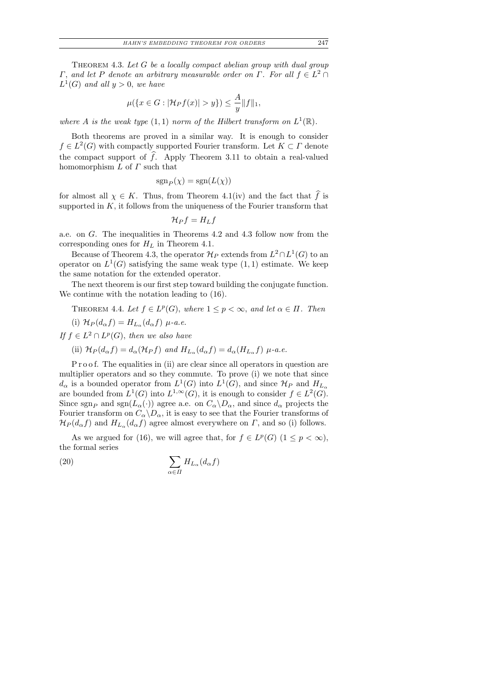THEOREM 4.3. Let  $G$  be a locally compact abelian group with dual group  $\Gamma$ , and let P denote an arbitrary measurable order on  $\Gamma$ . For all  $f \in L^2 \cap$  $L^1(G)$  and all  $y > 0$ , we have

$$
\mu({x \in G : |\mathcal{H}_Pf(x)| > y}) \le \frac{A}{y} ||f||_1,
$$

where A is the weak type  $(1,1)$  norm of the Hilbert transform on  $L^1(\mathbb{R})$ .

Both theorems are proved in a similar way. It is enough to consider  $f \in L^2(G)$  with compactly supported Fourier transform. Let  $K \subset \Gamma$  denote the compact support of  $f$ . Apply Theorem 3.11 to obtain a real-valued homomorphism  $L$  of  $\Gamma$  such that

$$
sgn_P(\chi) = sgn(L(\chi))
$$

for almost all  $\chi \in K$ . Thus, from Theorem 4.1(iv) and the fact that f is supported in  $K$ , it follows from the uniqueness of the Fourier transform that

$$
\mathcal{H}_P f = H_L f
$$

a.e. on G. The inequalities in Theorems 4.2 and 4.3 follow now from the corresponding ones for  $H_L$  in Theorem 4.1.

Because of Theorem 4.3, the operator  $\mathcal{H}_P$  extends from  $L^2 \cap L^1(G)$  to an operator on  $L^1(G)$  satisfying the same weak type  $(1,1)$  estimate. We keep the same notation for the extended operator.

The next theorem is our first step toward building the conjugate function. We continue with the notation leading to (16).

## THEOREM 4.4. Let  $f \in L^p(G)$ , where  $1 \leq p < \infty$ , and let  $\alpha \in \Pi$ . Then

(i)  $\mathcal{H}_P(d_\alpha f) = H_{L_\alpha}(d_\alpha f) \mu$ -a.e.

If  $f \in L^2 \cap L^p(G)$ , then we also have

(ii)  $\mathcal{H}_P(d_\alpha f) = d_\alpha(\mathcal{H}_P f)$  and  $H_{L_\alpha}(d_\alpha f) = d_\alpha(H_{L_\alpha} f)$   $\mu$ -a.e.

P r o o f. The equalities in (ii) are clear since all operators in question are multiplier operators and so they commute. To prove (i) we note that since  $d_{\alpha}$  is a bounded operator from  $L^1(G)$  into  $L^1(G)$ , and since  $\mathcal{H}_P$  and  $H_{L_{\alpha}}$ are bounded from  $L^1(G)$  into  $L^{1,\infty}(G)$ , it is enough to consider  $f \in L^2(G)$ . Since sgn<sub>P</sub> and sgn( $L_{\alpha}(\cdot)$ ) agree a.e. on  $C_{\alpha} \backslash D_{\alpha}$ , and since  $d_{\alpha}$  projects the Fourier transform on  $C_{\alpha} \backslash D_{\alpha}$ , it is easy to see that the Fourier transforms of  $\mathcal{H}_P(d_\alpha f)$  and  $H_{L_\alpha}(d_\alpha f)$  agree almost everywhere on  $\Gamma$ , and so (i) follows.

As we argued for (16), we will agree that, for  $f \in L^p(G)$   $(1 \leq p < \infty)$ , the formal series

(20) 
$$
\sum_{\alpha \in \Pi} H_{L_\alpha}(d_\alpha f)
$$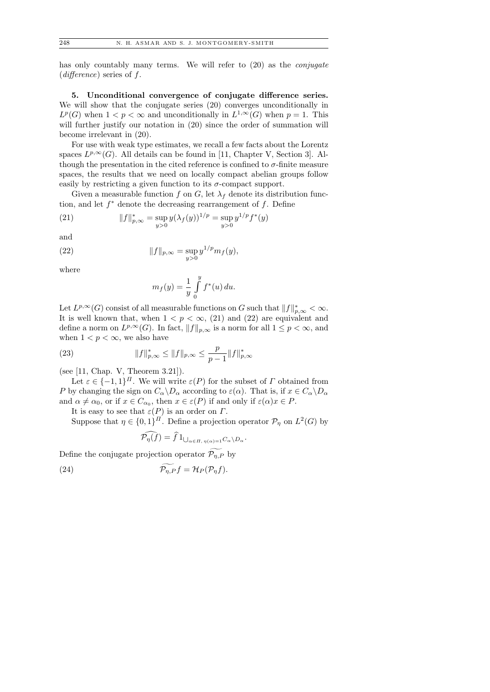has only countably many terms. We will refer to  $(20)$  as the *conjugate*  $(difference)$  series of f.

5. Unconditional convergence of conjugate difference series. We will show that the conjugate series (20) converges unconditionally in  $L^p(G)$  when  $1 < p < \infty$  and unconditionally in  $L^{1,\infty}(G)$  when  $p = 1$ . This will further justify our notation in  $(20)$  since the order of summation will become irrelevant in (20).

For use with weak type estimates, we recall a few facts about the Lorentz spaces  $L^{p,\infty}(G)$ . All details can be found in [11, Chapter V, Section 3]. Although the presentation in the cited reference is confined to  $\sigma$ -finite measure spaces, the results that we need on locally compact abelian groups follow easily by restricting a given function to its  $\sigma$ -compact support.

Given a measurable function f on G, let  $\lambda_f$  denote its distribution function, and let  $f^*$  denote the decreasing rearrangement of  $f$ . Define

(21) 
$$
||f||_{p,\infty}^* = \sup_{y>0} y(\lambda_f(y))^{1/p} = \sup_{y>0} y^{1/p} f^*(y)
$$

and

(22) 
$$
||f||_{p,\infty} = \sup_{y>0} y^{1/p} m_f(y),
$$

where

$$
m_f(y) = \frac{1}{y} \int_{0}^{y} f^*(u) \, du.
$$

Let  $L^{p,\infty}(G)$  consist of all measurable functions on G such that  $||f||_{p,\infty}^* < \infty$ . It is well known that, when  $1 < p < \infty$ , (21) and (22) are equivalent and define a norm on  $L^{p,\infty}(G)$ . In fact,  $||f||_{p,\infty}$  is a norm for all  $1 \leq p < \infty$ , and when  $1 < p < \infty$ , we also have

(23) 
$$
||f||_{p,\infty}^* \le ||f||_{p,\infty} \le \frac{p}{p-1}||f||_{p,\infty}^*
$$

(see [11, Chap. V, Theorem 3.21]).

Let  $\varepsilon \in \{-1,1\}^{\Pi}$ . We will write  $\varepsilon(P)$  for the subset of  $\Gamma$  obtained from P by changing the sign on  $C_{\alpha} \backslash D_{\alpha}$  according to  $\varepsilon(\alpha)$ . That is, if  $x \in C_{\alpha} \backslash D_{\alpha}$ and  $\alpha \neq \alpha_0$ , or if  $x \in C_{\alpha_0}$ , then  $x \in \varepsilon(P)$  if and only if  $\varepsilon(\alpha)x \in P$ .

It is easy to see that  $\varepsilon(P)$  is an order on  $\Gamma$ .

Suppose that  $\eta \in \{0,1\}^{\Pi}$ . Define a projection operator  $\mathcal{P}_{\eta}$  on  $L^2(G)$  by

$$
\mathcal{P}_{\eta}(f) = f 1_{\bigcup_{\alpha \in \Pi, \ \eta(\alpha) = 1} C_{\alpha} \setminus D_{\alpha}}.
$$

Define the conjugate projection operator  $\widetilde{\mathcal{P}_{\eta,P}}$  by

(24) 
$$
\widetilde{\mathcal{P}_{\eta,P}}f = \mathcal{H}_P(\mathcal{P}_{\eta}f).
$$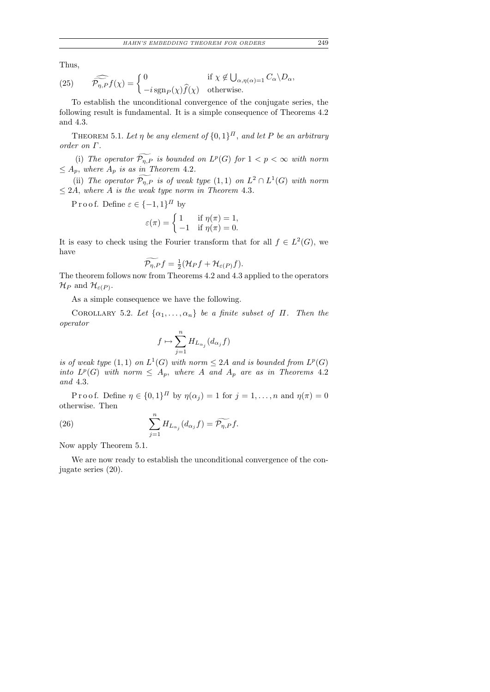Thus,

(25) 
$$
\widehat{\mathcal{P}_{\eta,P}}f(\chi) = \begin{cases} 0 & \text{if } \chi \notin \bigcup_{\alpha,\eta(\alpha)=1} C_{\alpha} \backslash D_{\alpha}, \\ -i \operatorname{sgn}_P(\chi) \widehat{f}(\chi) & \text{otherwise.} \end{cases}
$$

To establish the unconditional convergence of the conjugate series, the following result is fundamental. It is a simple consequence of Theorems 4.2 and 4.3.

THEOREM 5.1. Let  $\eta$  be any element of  $\{0,1\}^{\Pi}$ , and let P be an arbitrary order on Γ.

(i) The operator  $\mathcal{P}_{\eta,P}$  is bounded on  $L^p(G)$  for  $1 < p < \infty$  with norm  $\leq A_p$ , where  $A_p$  is as in Theorem 4.2.

(ii) The operator  $\widetilde{\mathcal{P}_{\eta,P}}$  is of weak type  $(1,1)$  on  $L^2 \cap L^1(G)$  with norm  $\leq$  2A, where A is the weak type norm in Theorem 4.3.

P r o o f. Define  $\varepsilon \in \{-1,1\}^{\Pi}$  by

$$
\varepsilon(\pi) = \begin{cases} 1 & \text{if } \eta(\pi) = 1, \\ -1 & \text{if } \eta(\pi) = 0. \end{cases}
$$

It is easy to check using the Fourier transform that for all  $f \in L^2(G)$ , we have

$$
\widetilde{\mathcal{P}_{\eta,P}}f = \frac{1}{2}(\mathcal{H}_Pf + \mathcal{H}_{\varepsilon(P)}f).
$$

The theorem follows now from Theorems 4.2 and 4.3 applied to the operators  $\mathcal{H}_P$  and  $\mathcal{H}_{\varepsilon(P)}$ .

As a simple consequence we have the following.

COROLLARY 5.2. Let  $\{\alpha_1, \ldots, \alpha_n\}$  be a finite subset of  $\Pi$ . Then the operator

$$
f\mapsto \sum_{j=1}^n H_{L_{\alpha_j}}(d_{\alpha_j}f)
$$

is of weak type  $(1,1)$  on  $L^1(G)$  with norm  $\leq 2A$  and is bounded from  $L^p(G)$ into  $L^p(G)$  with norm  $\leq A_p$ , where A and  $A_p$  are as in Theorems 4.2 and 4.3.

P r o o f. Define  $\eta \in \{0,1\}^{\Pi}$  by  $\eta(\alpha_j) = 1$  for  $j = 1, \ldots, n$  and  $\eta(\pi) = 0$ otherwise. Then

(26) 
$$
\sum_{j=1}^{n} H_{L_{\alpha_j}}(d_{\alpha_j}f) = \widetilde{\mathcal{P}_{\eta,P}}f.
$$

Now apply Theorem 5.1.

We are now ready to establish the unconditional convergence of the conjugate series (20).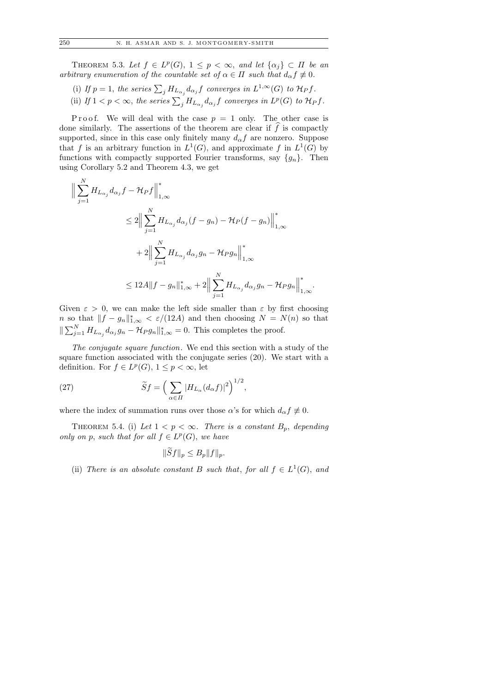THEOREM 5.3. Let  $f \in L^p(G)$ ,  $1 \leq p < \infty$ , and let  $\{\alpha_j\} \subset \Pi$  be an arbitrary enumeration of the countable set of  $\alpha \in \Pi$  such that  $d_{\alpha} f \neq 0$ .

- (i) If  $p = 1$ , the series  $\sum_j H_{L_{\alpha_j}} d_{\alpha_j} f$  converges in  $L^{1,\infty}(G)$  to  $\mathcal{H}_P f$ .
- (ii) If  $1 < p < \infty$ , the series  $\sum_j H_{L_{\alpha_j}} d_{\alpha_j} f$  converges in  $L^p(G)$  to  $\mathcal{H}_P f$ .

P r o o f. We will deal with the case  $p = 1$  only. The other case is done similarly. The assertions of the theorem are clear if  $f$  is compactly supported, since in this case only finitely many  $d_{\alpha}f$  are nonzero. Suppose that f is an arbitrary function in  $L^1(G)$ , and approximate f in  $L^1(G)$  by functions with compactly supported Fourier transforms, say  $\{g_n\}$ . Then using Corollary 5.2 and Theorem 4.3, we get

$$
\| \sum_{j=1}^{N} H_{L_{\alpha_{j}}} d_{\alpha_{j}} f - \mathcal{H}_{P} f \|_{1,\infty}^{*}
$$
  
\n
$$
\leq 2 \Big\| \sum_{j=1}^{N} H_{L_{\alpha_{j}}} d_{\alpha_{j}} (f - g_{n}) - \mathcal{H}_{P} (f - g_{n}) \Big\|_{1,\infty}^{*}
$$
  
\n
$$
+ 2 \Big\| \sum_{j=1}^{N} H_{L_{\alpha_{j}}} d_{\alpha_{j}} g_{n} - \mathcal{H}_{P} g_{n} \Big\|_{1,\infty}^{*}
$$
  
\n
$$
\leq 12A \|f - g_{n}\|_{1,\infty}^{*} + 2 \Big\| \sum_{j=1}^{N} H_{L_{\alpha_{j}}} d_{\alpha_{j}} g_{n} - \mathcal{H}_{P} g_{n} \Big\|_{1,\infty}^{*}
$$

Given  $\varepsilon > 0$ , we can make the left side smaller than  $\varepsilon$  by first choosing *n* so that  $||f - g_n||_{1,\infty}^* < \varepsilon/(12A)$  and then choosing  $N = N(n)$  so that  $\|\sum_{j=1}^N H_{L_{\alpha_j}} d_{\alpha_j} g_n - \mathcal{H}_P g_n\|_{1,\infty}^* = 0.$  This completes the proof.

.

The conjugate square function. We end this section with a study of the square function associated with the conjugate series (20). We start with a definition. For  $f \in L^p(G)$ ,  $1 \leq p < \infty$ , let

(27) 
$$
\widetilde{S}f = \left(\sum_{\alpha \in \Pi} |H_{L_{\alpha}}(d_{\alpha}f)|^2\right)^{1/2},
$$

where the index of summation runs over those  $\alpha$ 's for which  $d_{\alpha} f \neq 0$ .

THEOREM 5.4. (i) Let  $1 < p < \infty$ . There is a constant  $B_p$ , depending only on p, such that for all  $f \in L^p(G)$ , we have

$$
\|\widetilde{S}f\|_p\leq B_p\|f\|_p.
$$

(ii) There is an absolute constant B such that, for all  $f \in L^1(G)$ , and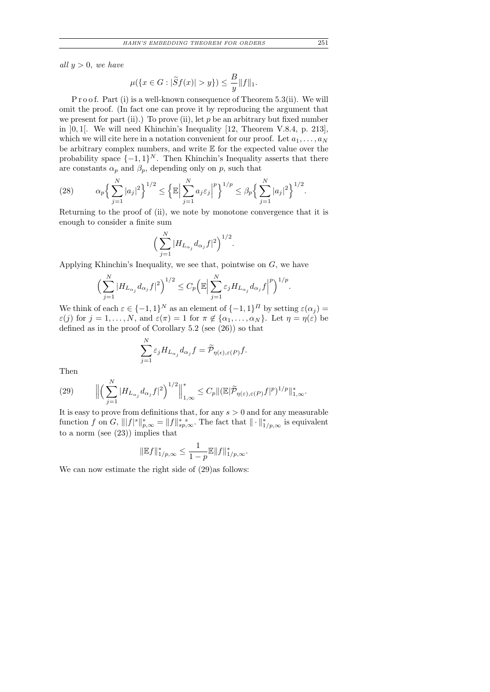all  $y > 0$ , we have

$$
\mu(\{x \in G : |\widetilde{S}f(x)| > y\}) \le \frac{B}{y} ||f||_1.
$$

P r o o f. Part (i) is a well-known consequence of Theorem 5.3(ii). We will omit the proof. (In fact one can prove it by reproducing the argument that we present for part (ii).) To prove (ii), let  $p$  be an arbitrary but fixed number in ]0, 1[. We will need Khinchin's Inequality [12, Theorem V.8.4, p. 213], which we will cite here in a notation convenient for our proof. Let  $a_1, \ldots, a_N$ be arbitrary complex numbers, and write E for the expected value over the probability space  $\{-1,1\}^N$ . Then Khinchin's Inequality asserts that there are constants  $\alpha_p$  and  $\beta_p$ , depending only on p, such that

(28) 
$$
\alpha_p \left\{ \sum_{j=1}^N |a_j|^2 \right\}^{1/2} \leq \left\{ \mathbb{E} \Big| \sum_{j=1}^N a_j \varepsilon_j \Big|^p \right\}^{1/p} \leq \beta_p \left\{ \sum_{j=1}^N |a_j|^2 \right\}^{1/2}.
$$

Returning to the proof of (ii), we note by monotone convergence that it is enough to consider a finite sum

$$
\Big(\sum_{j=1}^N|H_{L_{\alpha_j}}d_{\alpha_j}f|^2\Big)^{1/2}.
$$

Applying Khinchin's Inequality, we see that, pointwise on G, we have

$$
\Big(\sum_{j=1}^N |H_{L_{\alpha_j}}d_{\alpha_j}f|^2\Big)^{1/2} \leq C_p \Big(\mathbb{E}\Big|\sum_{j=1}^N \varepsilon_j H_{L_{\alpha_j}}d_{\alpha_j}f\Big|^p\Big)^{1/p}.
$$

We think of each  $\varepsilon \in \{-1,1\}^N$  as an element of  $\{-1,1\}^N$  by setting  $\varepsilon(\alpha_j)$  =  $\varepsilon(j)$  for  $j = 1, ..., N$ , and  $\varepsilon(\pi) = 1$  for  $\pi \notin {\alpha_1, ..., \alpha_N}$ . Let  $\eta = \eta(\varepsilon)$  be defined as in the proof of Corollary 5.2 (see (26)) so that

$$
\sum_{j=1}^N \varepsilon_j H_{L_{\alpha_j}} d_{\alpha_j} f = \widetilde{\mathcal{P}}_{\eta(\epsilon), \varepsilon(P)} f.
$$

Then

(29) 
$$
\left\| \left( \sum_{j=1}^N |H_{L_{\alpha_j}} d_{\alpha_j} f|^2 \right)^{1/2} \right\|_{1,\infty}^* \leq C_p \| (\mathbb{E} | \widetilde{\mathcal{P}}_{\eta(\varepsilon),\varepsilon(P)} f|^p)^{1/p} \|_{1,\infty}^*.
$$

It is easy to prove from definitions that, for any  $s > 0$  and for any measurable function f on G,  $|||f|^s||_{p,\infty}^* = ||f||_{sp,\infty}^*$ . The fact that  $|| \cdot ||_{1/p,\infty}^*$  is equivalent to a norm (see (23)) implies that

$$
\|\mathbb{E}f\|_{1/p,\infty}^* \le \frac{1}{1-p} \mathbb{E} \|f\|_{1/p,\infty}^*.
$$

We can now estimate the right side of (29)as follows: